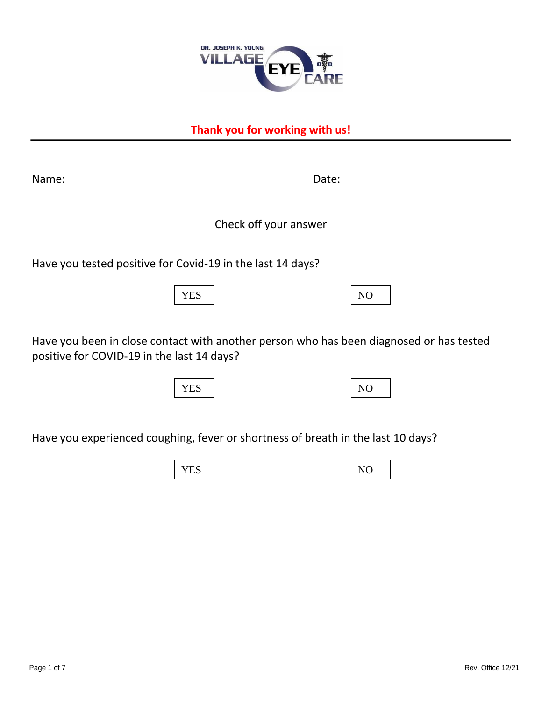

## **Thank you for working with us!**

| Name:                                                      | Date:                                                                                   |
|------------------------------------------------------------|-----------------------------------------------------------------------------------------|
|                                                            | Check off your answer                                                                   |
| Have you tested positive for Covid-19 in the last 14 days? |                                                                                         |
| <b>YES</b>                                                 | N <sub>O</sub>                                                                          |
| positive for COVID-19 in the last 14 days?                 | Have you been in close contact with another person who has been diagnosed or has tested |

YES NO

Have you experienced coughing, fever or shortness of breath in the last 10 days?

YES NO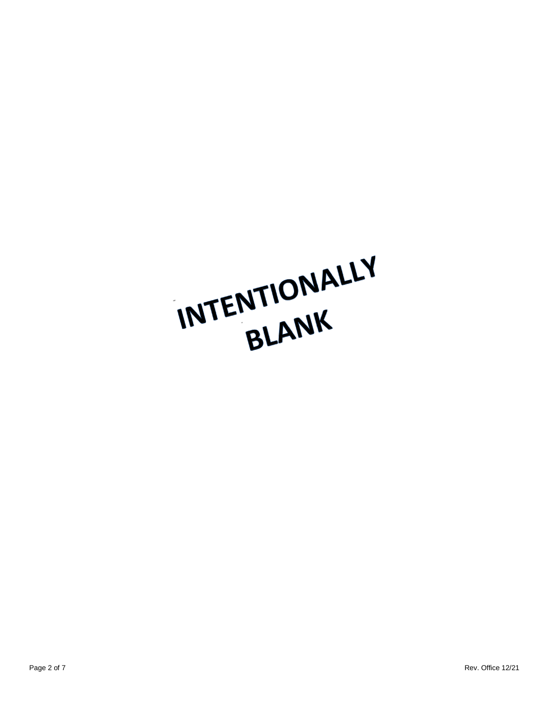INTENTIONALLY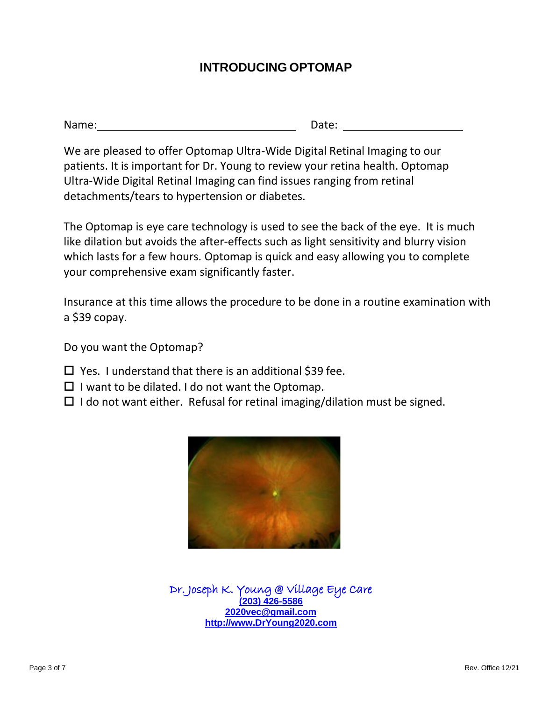# **INTRODUCING OPTOMAP**

| Name: | Date: |
|-------|-------|
|       |       |

We are pleased to offer Optomap Ultra-Wide Digital Retinal Imaging to our patients. It is important for Dr. Young to review your retina health. Optomap Ultra-Wide Digital Retinal Imaging can find issues ranging from retinal detachments/tears to hypertension or diabetes.

The Optomap is eye care technology is used to see the back of the eye. It is much like dilation but avoids the after-effects such as light sensitivity and blurry vision which lasts for a few hours. Optomap is quick and easy allowing you to complete your comprehensive exam significantly faster.

Insurance at this time allows the procedure to be done in a routine examination with a \$39 copay.

Do you want the Optomap?

- $\Box$  Yes. I understand that there is an additional \$39 fee.
- $\Box$  I want to be dilated. I do not want the Optomap.
- $\Box$  I do not want either. Refusal for retinal imaging/dilation must be signed.



Dr. Joseph K. Young @ Village Eye Care **(203) 426-5586 [2020vec@gmail.com](about:blank) [http://www.DrYoung2020.com](about:blank)**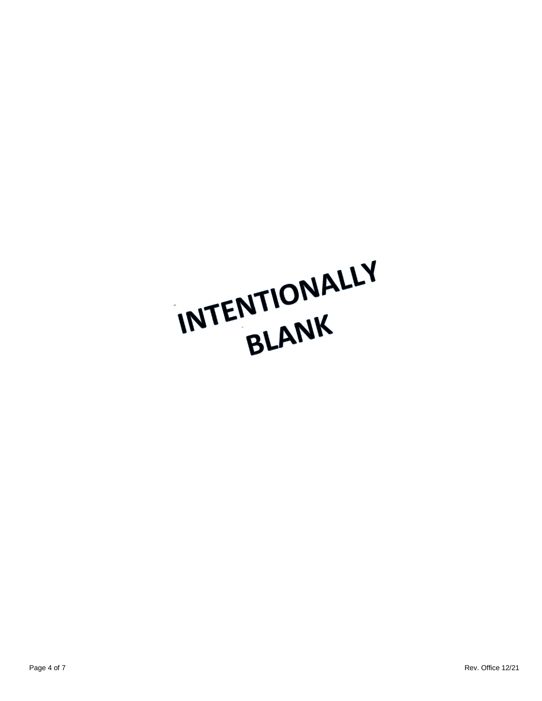INTENTIONALLY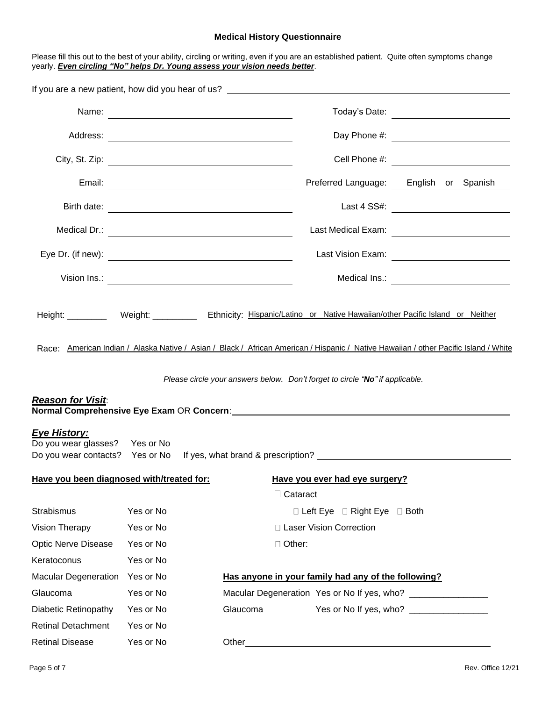### **Medical History Questionnaire**

| Please fill this out to the best of your ability, circling or writing, even if you are an established patient. Quite often symptoms change<br>yearly. Even circling "No" helps Dr. Young assess your vision needs better. |
|---------------------------------------------------------------------------------------------------------------------------------------------------------------------------------------------------------------------------|
|                                                                                                                                                                                                                           |
|                                                                                                                                                                                                                           |
|                                                                                                                                                                                                                           |
|                                                                                                                                                                                                                           |
| Preferred Language: English or Spanish                                                                                                                                                                                    |
|                                                                                                                                                                                                                           |
|                                                                                                                                                                                                                           |
|                                                                                                                                                                                                                           |
| Vision Ins.: $\qquad \qquad$                                                                                                                                                                                              |
| Race: American Indian / Alaska Native / Asian / Black / African American / Hispanic / Native Hawaiian / other Pacific Island / White                                                                                      |
| Please circle your answers below. Don't forget to circle "No" if applicable.                                                                                                                                              |
| Do you wear contacts? Yes or No If yes, what brand & prescription? _________________________________                                                                                                                      |
| Have you ever had eye surgery?<br>$\Box$ Cataract                                                                                                                                                                         |
| $\Box$ Left Eye $\Box$ Right Eye $\Box$ Both                                                                                                                                                                              |
| □ Laser Vision Correction                                                                                                                                                                                                 |
| □ Other:                                                                                                                                                                                                                  |
|                                                                                                                                                                                                                           |
| Has anyone in your family had any of the following?                                                                                                                                                                       |
| Macular Degeneration Yes or No If yes, who? __________________                                                                                                                                                            |
|                                                                                                                                                                                                                           |
|                                                                                                                                                                                                                           |
| Height: _________ Weight: _________ Ethnicity: Hispanic/Latino or Native Hawaiian/other Pacific Island or Neither                                                                                                         |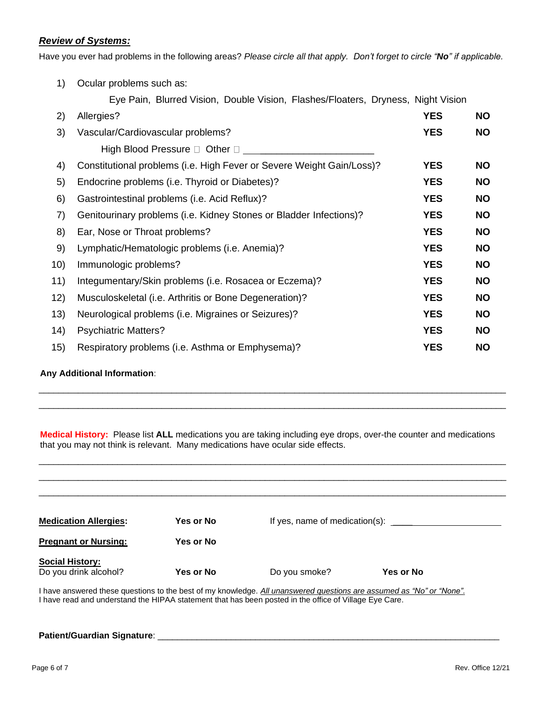#### *Review of Systems:*

Have you ever had problems in the following areas? *Please circle all that apply. Don't forget to circle "No" if applicable.*

| 1)   | Ocular problems such as:                                                         |            |           |
|------|----------------------------------------------------------------------------------|------------|-----------|
|      | Eye Pain, Blurred Vision, Double Vision, Flashes/Floaters, Dryness, Night Vision |            |           |
| 2)   | Allergies?                                                                       | <b>YES</b> | <b>NO</b> |
| 3)   | Vascular/Cardiovascular problems?                                                | <b>YES</b> | <b>NO</b> |
|      | High Blood Pressure □ Other □ ________                                           |            |           |
| 4)   | Constitutional problems (i.e. High Fever or Severe Weight Gain/Loss)?            | <b>YES</b> | <b>NO</b> |
| 5)   | Endocrine problems (i.e. Thyroid or Diabetes)?                                   | <b>YES</b> | <b>NO</b> |
| 6)   | Gastrointestinal problems (i.e. Acid Reflux)?                                    | <b>YES</b> | <b>NO</b> |
| 7)   | Genitourinary problems (i.e. Kidney Stones or Bladder Infections)?               | <b>YES</b> | <b>NO</b> |
| 8)   | Ear, Nose or Throat problems?                                                    | <b>YES</b> | <b>NO</b> |
| 9)   | Lymphatic/Hematologic problems (i.e. Anemia)?                                    | <b>YES</b> | <b>NO</b> |
| 10)  | Immunologic problems?                                                            | <b>YES</b> | <b>NO</b> |
| 11)  | Integumentary/Skin problems (i.e. Rosacea or Eczema)?                            | <b>YES</b> | <b>NO</b> |
| 12)  | Musculoskeletal (i.e. Arthritis or Bone Degeneration)?                           | <b>YES</b> | <b>NO</b> |
| 13)  | Neurological problems (i.e. Migraines or Seizures)?                              | <b>YES</b> | <b>NO</b> |
| (14) | <b>Psychiatric Matters?</b>                                                      | <b>YES</b> | <b>NO</b> |
| 15)  | Respiratory problems (i.e. Asthma or Emphysema)?                                 | <b>YES</b> | <b>NO</b> |

#### **Any Additional Information**:

**Medical History:** Please list **ALL** medications you are taking including eye drops, over-the counter and medications that you may not think is relevant. Many medications have ocular side effects.

\_\_\_\_\_\_\_\_\_\_\_\_\_\_\_\_\_\_\_\_\_\_\_\_\_\_\_\_\_\_\_\_\_\_\_\_\_\_\_\_\_\_\_\_\_\_\_\_\_\_\_\_\_\_\_\_\_\_\_\_\_\_\_\_\_\_\_\_\_\_\_\_\_\_\_\_\_\_\_\_\_\_\_\_\_\_\_\_\_\_\_\_\_\_\_ \_\_\_\_\_\_\_\_\_\_\_\_\_\_\_\_\_\_\_\_\_\_\_\_\_\_\_\_\_\_\_\_\_\_\_\_\_\_\_\_\_\_\_\_\_\_\_\_\_\_\_\_\_\_\_\_\_\_\_\_\_\_\_\_\_\_\_\_\_\_\_\_\_\_\_\_\_\_\_\_\_\_\_\_\_\_\_\_\_\_\_\_\_\_\_

| <b>Medication Allergies:</b> | Yes or No | If yes, name of medication(s): $\frac{1}{\sqrt{1-\frac{1}{\sqrt{1-\frac{1}{\sqrt{1-\frac{1}{\sqrt{1-\frac{1}{\sqrt{1-\frac{1}{\sqrt{1-\frac{1}{\sqrt{1-\frac{1}{\sqrt{1-\frac{1}{\sqrt{1-\frac{1}{\sqrt{1-\frac{1}{\sqrt{1-\frac{1}{\sqrt{1-\frac{1}{\sqrt{1-\frac{1}{\sqrt{1-\frac{1}{\sqrt{1-\frac{1}{\sqrt{1-\frac{1}{\sqrt{1-\frac{1}{\sqrt{1-\frac{1}{\sqrt{1-\frac{1}{\sqrt{1-\frac{1}{\sqrt{1$ |           |  |
|------------------------------|-----------|-------------------------------------------------------------------------------------------------------------------------------------------------------------------------------------------------------------------------------------------------------------------------------------------------------------------------------------------------------------------------------------------------------|-----------|--|
| <b>Pregnant or Nursing:</b>  | Yes or No |                                                                                                                                                                                                                                                                                                                                                                                                       |           |  |
| <b>Social History:</b>       |           |                                                                                                                                                                                                                                                                                                                                                                                                       |           |  |
| Do you drink alcohol?        | Yes or No | Do you smoke?                                                                                                                                                                                                                                                                                                                                                                                         | Yes or No |  |

I have answered these questions to the best of my knowledge. *All unanswered questions are assumed as "No" or "None".* I have read and understand the HIPAA statement that has been posted in the office of Village Eye Care.

### **Patient/Guardian Signature**: \_\_\_\_\_\_\_\_\_\_\_\_\_\_\_\_\_\_\_\_\_\_\_\_\_\_\_\_\_\_\_\_\_\_\_\_\_\_\_\_\_\_\_\_\_\_\_\_\_\_\_\_\_\_\_\_\_\_\_\_\_\_\_\_\_\_\_\_\_\_